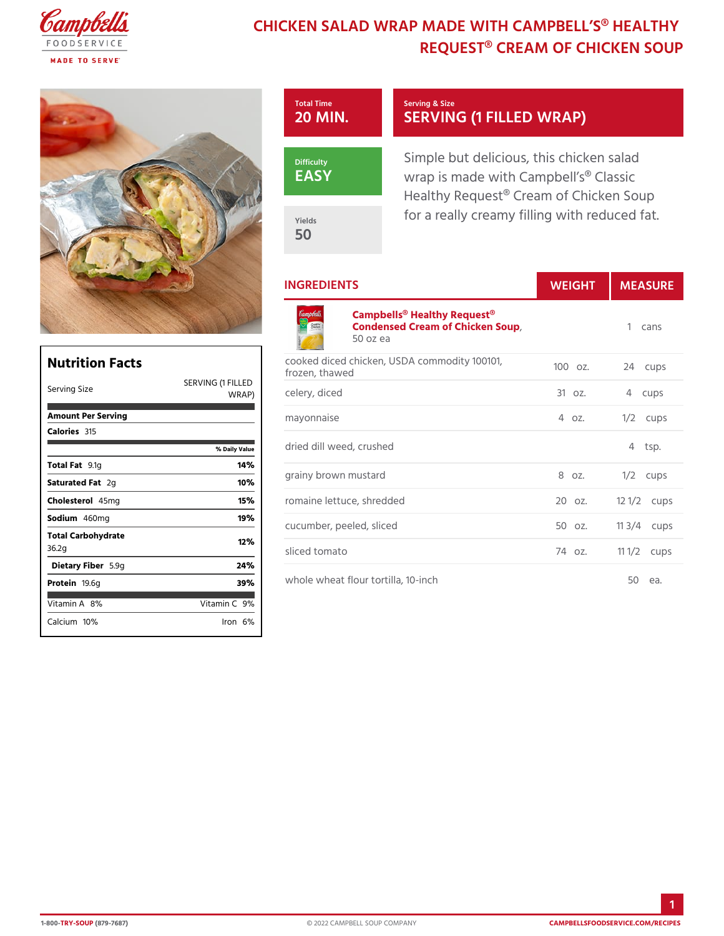# CHICKEN SALAD WRAP MADE WITH CAMP REQUEST® CREAM OF CHI

| Total Time<br>$20$ MIN. | Serving & Size<br>SERVING (1 FILLED WRA                                                            |
|-------------------------|----------------------------------------------------------------------------------------------------|
| Difficulty<br>EASY      | Simple but delicious, this chick<br>wrap is made with Campbell s®<br>Healthy Request® Cream of Chi |
| Yields<br>50            | for a really creamy filling with                                                                   |

٦

### INGREDIENTS WEIGH MEASU

#### [Campbells® Healthy R](https://www.campbellsfoodservice.com/product/cream-of-chicken-soup)equest® Condensed Cream of Chicken Soup 1 cans 50 oz ea

| Nutrition Facts             |                     | $C$ $O$ $O$<br>froz |
|-----------------------------|---------------------|---------------------|
| Serving Size                | SERVING (1<br>WRAP) | FILLED<br>cele      |
| Amount Per Serving          |                     | m a y               |
| Calorie3s15                 |                     |                     |
|                             | % Daily Value       | drie                |
| Total F9at1g                | 14%                 |                     |
| Saturated 2Fgat             | 10%                 | gra                 |
| Choleste465 lm g            | 15%                 | r o m               |
| Sodium460mg                 | 19%                 | c u c               |
| Total Carbohydrate<br>36.2g | 12%                 | slic                |
| Dietary F5ib9egr            | 24 %                |                     |
| Proteifig.6g                | 39%                 | who                 |
| Vitamin8A%                  | Vitamin9 <b>%</b>   |                     |
| $C$ alcium $0\%$            | $l$ ron $6$ %       |                     |

Г

| cooked diced chicken, USDA commodity 100124, cups<br>frozen, thawed |                  |
|---------------------------------------------------------------------|------------------|
| FILLED<br>celery, diced                                             | 31 oz. 4 cups    |
| mayonnaise                                                          | 4 oz. 1/2 cups   |
| <sub>lue</sub> dried dill weed, crushed                             | 4 tsp.           |
| grainy brown mustard                                                | 8 oz. 1/2 cups   |
| romaine lettuce, shredded                                           | 20 oz. 12 1/Qups |
| cucumber, peeled, sliced                                            | 50 oz. 11 3/4ups |
| sliced tomato                                                       | 74 oz. 11 1/2ups |
| whole wheat flour tortilla, 10-inch                                 | 50 еа.           |